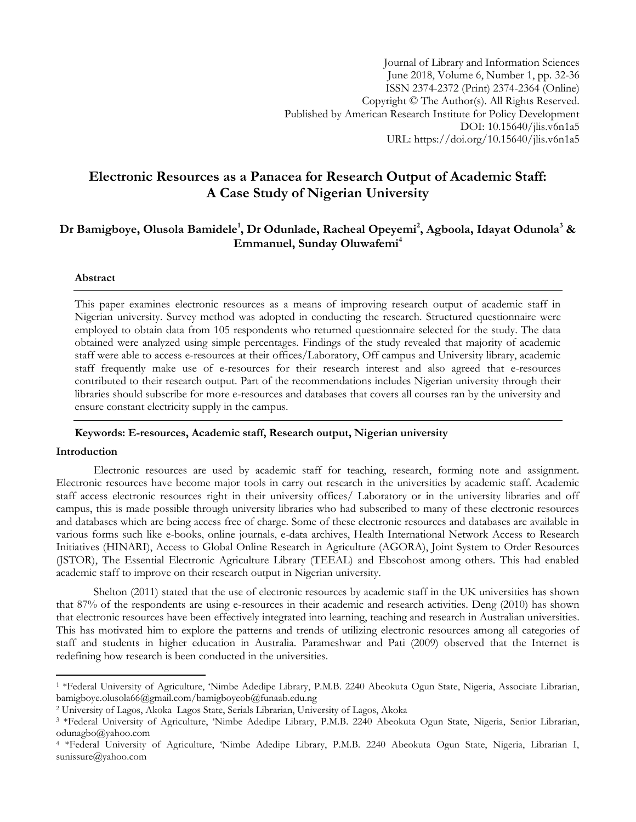# **Electronic Resources as a Panacea for Research Output of Academic Staff: A Case Study of Nigerian University**

## **Dr Bamigboye, Olusola Bamidele<sup>1</sup> , Dr Odunlade, Racheal Opeyemi<sup>2</sup> , Agboola, Idayat Odunola<sup>3</sup> & Emmanuel, Sunday Oluwafemi<sup>4</sup>**

#### **Abstract**

This paper examines electronic resources as a means of improving research output of academic staff in Nigerian university. Survey method was adopted in conducting the research. Structured questionnaire were employed to obtain data from 105 respondents who returned questionnaire selected for the study. The data obtained were analyzed using simple percentages. Findings of the study revealed that majority of academic staff were able to access e-resources at their offices/Laboratory, Off campus and University library, academic staff frequently make use of e-resources for their research interest and also agreed that e-resources contributed to their research output. Part of the recommendations includes Nigerian university through their libraries should subscribe for more e-resources and databases that covers all courses ran by the university and ensure constant electricity supply in the campus.

#### **Keywords: E-resources, Academic staff, Research output, Nigerian university**

#### **Introduction**

l

Electronic resources are used by academic staff for teaching, research, forming note and assignment. Electronic resources have become major tools in carry out research in the universities by academic staff. Academic staff access electronic resources right in their university offices/ Laboratory or in the university libraries and off campus, this is made possible through university libraries who had subscribed to many of these electronic resources and databases which are being access free of charge. Some of these electronic resources and databases are available in various forms such like e-books, online journals, e-data archives, Health International Network Access to Research Initiatives (HINARI), Access to Global Online Research in Agriculture (AGORA), Joint System to Order Resources (JSTOR), The Essential Electronic Agriculture Library (TEEAL) and Ebscohost among others. This had enabled academic staff to improve on their research output in Nigerian university.

Shelton (2011) stated that the use of electronic resources by academic staff in the UK universities has shown that 87% of the respondents are using e-resources in their academic and research activities. Deng (2010) has shown that electronic resources have been effectively integrated into learning, teaching and research in Australian universities. This has motivated him to explore the patterns and trends of utilizing electronic resources among all categories of staff and students in higher education in Australia. Parameshwar and Pati (2009) observed that the Internet is redefining how research is been conducted in the universities.

<sup>1</sup> \*Federal University of Agriculture, 'Nimbe Adedipe Library, P.M.B. 2240 Abeokuta Ogun State, Nigeria, Associate Librarian, bamigboye.olusola66@gmail.com/bamigboyeob@funaab.edu.ng

<sup>2</sup> University of Lagos, Akoka Lagos State, Serials Librarian, University of Lagos, Akoka

<sup>&</sup>lt;sup>3</sup> \*Federal University of Agriculture, 'Nimbe Adedipe Library, P.M.B. 2240 Abeokuta Ogun State, Nigeria, Senior Librarian, odunagbo@yahoo.com

<sup>4</sup> \*Federal University of Agriculture, 'Nimbe Adedipe Library, P.M.B. 2240 Abeokuta Ogun State, Nigeria, Librarian I, sunissure@yahoo.com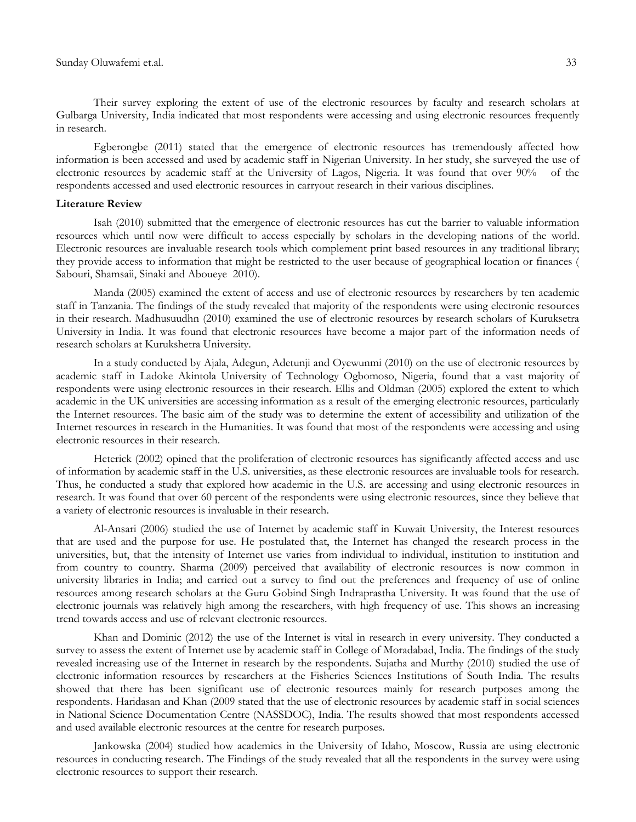Their survey exploring the extent of use of the electronic resources by faculty and research scholars at Gulbarga University, India indicated that most respondents were accessing and using electronic resources frequently in research.

Egberongbe (2011) stated that the emergence of electronic resources has tremendously affected how information is been accessed and used by academic staff in Nigerian University. In her study, she surveyed the use of electronic resources by academic staff at the University of Lagos, Nigeria. It was found that over 90% of the respondents accessed and used electronic resources in carryout research in their various disciplines.

#### **Literature Review**

Isah (2010) submitted that the emergence of electronic resources has cut the barrier to valuable information resources which until now were difficult to access especially by scholars in the developing nations of the world. Electronic resources are invaluable research tools which complement print based resources in any traditional library; they provide access to information that might be restricted to the user because of geographical location or finances ( Sabouri, Shamsaii, Sinaki and Aboueye 2010).

Manda (2005) examined the extent of access and use of electronic resources by researchers by ten academic staff in Tanzania. The findings of the study revealed that majority of the respondents were using electronic resources in their research. Madhusuudhn (2010) examined the use of electronic resources by research scholars of Kuruksetra University in India. It was found that electronic resources have become a major part of the information needs of research scholars at Kurukshetra University.

In a study conducted by Ajala, Adegun, Adetunji and Oyewunmi (2010) on the use of electronic resources by academic staff in Ladoke Akintola University of Technology Ogbomoso, Nigeria, found that a vast majority of respondents were using electronic resources in their research. Ellis and Oldman (2005) explored the extent to which academic in the UK universities are accessing information as a result of the emerging electronic resources, particularly the Internet resources. The basic aim of the study was to determine the extent of accessibility and utilization of the Internet resources in research in the Humanities. It was found that most of the respondents were accessing and using electronic resources in their research.

Heterick (2002) opined that the proliferation of electronic resources has significantly affected access and use of information by academic staff in the U.S. universities, as these electronic resources are invaluable tools for research. Thus, he conducted a study that explored how academic in the U.S. are accessing and using electronic resources in research. It was found that over 60 percent of the respondents were using electronic resources, since they believe that a variety of electronic resources is invaluable in their research.

Al-Ansari (2006) studied the use of Internet by academic staff in Kuwait University, the Interest resources that are used and the purpose for use. He postulated that, the Internet has changed the research process in the universities, but, that the intensity of Internet use varies from individual to individual, institution to institution and from country to country. Sharma (2009) perceived that availability of electronic resources is now common in university libraries in India; and carried out a survey to find out the preferences and frequency of use of online resources among research scholars at the Guru Gobind Singh Indraprastha University. It was found that the use of electronic journals was relatively high among the researchers, with high frequency of use. This shows an increasing trend towards access and use of relevant electronic resources.

Khan and Dominic (2012) the use of the Internet is vital in research in every university. They conducted a survey to assess the extent of Internet use by academic staff in College of Moradabad, India. The findings of the study revealed increasing use of the Internet in research by the respondents. Sujatha and Murthy (2010) studied the use of electronic information resources by researchers at the Fisheries Sciences Institutions of South India. The results showed that there has been significant use of electronic resources mainly for research purposes among the respondents. Haridasan and Khan (2009 stated that the use of electronic resources by academic staff in social sciences in National Science Documentation Centre (NASSDOC), India. The results showed that most respondents accessed and used available electronic resources at the centre for research purposes.

Jankowska (2004) studied how academics in the University of Idaho, Moscow, Russia are using electronic resources in conducting research. The Findings of the study revealed that all the respondents in the survey were using electronic resources to support their research.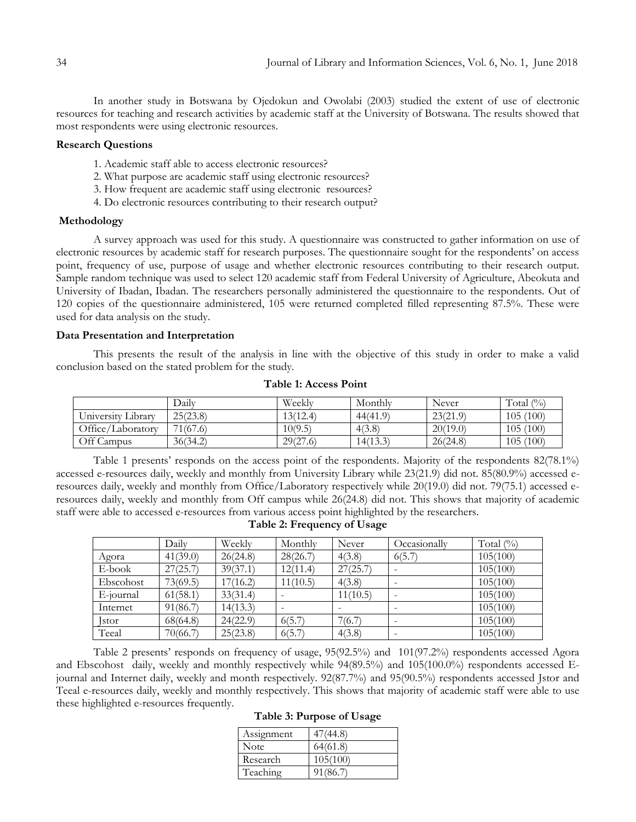In another study in Botswana by Ojedokun and Owolabi (2003) studied the extent of use of electronic resources for teaching and research activities by academic staff at the University of Botswana. The results showed that most respondents were using electronic resources.

#### **Research Questions**

- 1. Academic staff able to access electronic resources?
- 2. What purpose are academic staff using electronic resources?
- 3. How frequent are academic staff using electronic resources?
- 4. Do electronic resources contributing to their research output?

#### **Methodology**

A survey approach was used for this study. A questionnaire was constructed to gather information on use of electronic resources by academic staff for research purposes. The questionnaire sought for the respondents' on access point, frequency of use, purpose of usage and whether electronic resources contributing to their research output. Sample random technique was used to select 120 academic staff from Federal University of Agriculture, Abeokuta and University of Ibadan, Ibadan. The researchers personally administered the questionnaire to the respondents. Out of 120 copies of the questionnaire administered, 105 were returned completed filled representing 87.5%. These were used for data analysis on the study.

#### **Data Presentation and Interpretation**

This presents the result of the analysis in line with the objective of this study in order to make a valid conclusion based on the stated problem for the study.

|                    | Daily    | Weekly   | Monthly  | Never    | Total $(\% )$ |
|--------------------|----------|----------|----------|----------|---------------|
| University Library | 25(23.8) | 13(12.4) | 44(41.9) | 23(21.9) | 105(100)      |
| Office/Laboratory  | 71(67.6) | 10(9.5)  | 4(3.8)   | 20(19.0) | 105(100)      |
| Off Campus         | 36(34.2) | 29(27.6) | 14(13.3) | 26(24.8) | 105(100)      |

#### **Table 1: Access Point**

Table 1 presents' responds on the access point of the respondents. Majority of the respondents 82(78.1%) accessed e-resources daily, weekly and monthly from University Library while 23(21.9) did not. 85(80.9%) accessed eresources daily, weekly and monthly from Office/Laboratory respectively while 20(19.0) did not. 79(75.1) accessed eresources daily, weekly and monthly from Off campus while 26(24.8) did not. This shows that majority of academic staff were able to accessed e-resources from various access point highlighted by the researchers.

|              | Daily    | Weekly   | Monthly  | Never    | Occasionally | Total $(\% )$ |
|--------------|----------|----------|----------|----------|--------------|---------------|
| Agora        | 41(39.0) | 26(24.8) | 28(26.7) | 4(3.8)   | 6(5.7)       | 105(100)      |
| E-book       | 27(25.7) | 39(37.1) | 12(11.4) | 27(25.7) |              | 105(100)      |
| Ebscohost    | 73(69.5) | 17(16.2) | 11(10.5) | 4(3.8)   |              | 105(100)      |
| E-journal    | 61(58.1) | 33(31.4) |          | 11(10.5) |              | 105(100)      |
| Internet     | 91(86.7) | 14(13.3) |          |          |              | 105(100)      |
| <b>Istor</b> | 68(64.8) | 24(22.9) | 6(5.7)   | 7(6.7)   |              | 105(100)      |
| Teeal        | 70(66.7) | 25(23.8) | 6(5.7)   | 4(3.8)   |              | 105(100)      |

**Table 2: Frequency of Usage**

Table 2 presents' responds on frequency of usage, 95(92.5%) and 101(97.2%) respondents accessed Agora and Ebscohost daily, weekly and monthly respectively while 94(89.5%) and 105(100.0%) respondents accessed Ejournal and Internet daily, weekly and month respectively. 92(87.7%) and 95(90.5%) respondents accessed Jstor and Teeal e-resources daily, weekly and monthly respectively. This shows that majority of academic staff were able to use these highlighted e-resources frequently.

|  |  | Table 3: Purpose of Usage |
|--|--|---------------------------|
|--|--|---------------------------|

| Assignment | 47(44.8) |
|------------|----------|
| Note       | 64(61.8) |
| Research   | 105(100) |
| Teaching   | 91(86.7) |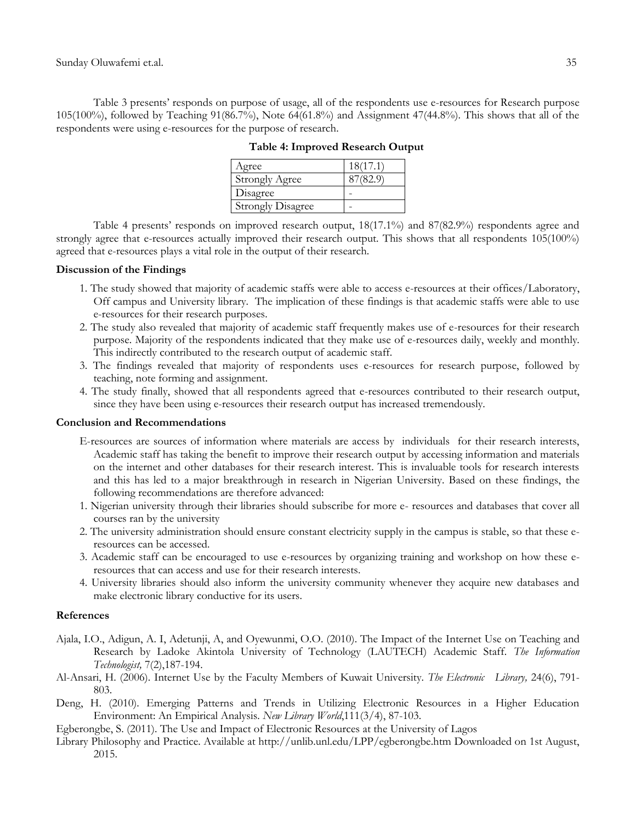Table 3 presents' responds on purpose of usage, all of the respondents use e-resources for Research purpose 105(100%), followed by Teaching 91(86.7%), Note 64(61.8%) and Assignment 47(44.8%). This shows that all of the respondents were using e-resources for the purpose of research.

| Agree                    | $18(17)^{2}$ |
|--------------------------|--------------|
| Strongly Agree           |              |
| Disagree                 |              |
| <b>Strongly Disagree</b> |              |

**Table 4: Improved Research Output**

Table 4 presents' responds on improved research output, 18(17.1%) and 87(82.9%) respondents agree and strongly agree that e-resources actually improved their research output. This shows that all respondents 105(100%) agreed that e-resources plays a vital role in the output of their research.

## **Discussion of the Findings**

- 1. The study showed that majority of academic staffs were able to access e-resources at their offices/Laboratory, Off campus and University library. The implication of these findings is that academic staffs were able to use e-resources for their research purposes.
- 2. The study also revealed that majority of academic staff frequently makes use of e-resources for their research purpose. Majority of the respondents indicated that they make use of e-resources daily, weekly and monthly. This indirectly contributed to the research output of academic staff.
- 3. The findings revealed that majority of respondents uses e-resources for research purpose, followed by teaching, note forming and assignment.
- 4. The study finally, showed that all respondents agreed that e-resources contributed to their research output, since they have been using e-resources their research output has increased tremendously.

## **Conclusion and Recommendations**

- E-resources are sources of information where materials are access by individuals for their research interests, Academic staff has taking the benefit to improve their research output by accessing information and materials on the internet and other databases for their research interest. This is invaluable tools for research interests and this has led to a major breakthrough in research in Nigerian University. Based on these findings, the following recommendations are therefore advanced:
- 1. Nigerian university through their libraries should subscribe for more e- resources and databases that cover all courses ran by the university
- 2. The university administration should ensure constant electricity supply in the campus is stable, so that these eresources can be accessed.
- 3. Academic staff can be encouraged to use e-resources by organizing training and workshop on how these eresources that can access and use for their research interests.
- 4. University libraries should also inform the university community whenever they acquire new databases and make electronic library conductive for its users.

## **References**

- Ajala, I.O., Adigun, A. I, Adetunji, A, and Oyewunmi, O.O. (2010). The Impact of the Internet Use on Teaching and Research by Ladoke Akintola University of Technology (LAUTECH) Academic Staff. *The Information Technologist,* 7(2),187-194.
- Al-Ansari, H. (2006). Internet Use by the Faculty Members of Kuwait University. *The Electronic Library,* 24(6), 791- 803.
- Deng, H. (2010). Emerging Patterns and Trends in Utilizing Electronic Resources in a Higher Education Environment: An Empirical Analysis. *New Library World*,111(3/4), 87-103.
- Egberongbe, S. (2011). The Use and Impact of Electronic Resources at the University of Lagos
- Library Philosophy and Practice. Available at http://unlib.unl.edu/LPP/egberongbe.htm Downloaded on 1st August, 2015.